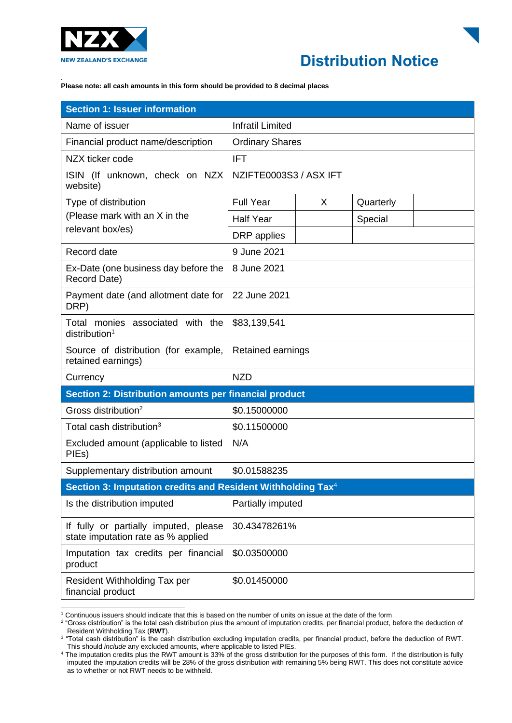

## **Distribution Notice**

*.* **Please note: all cash amounts in this form should be provided to 8 decimal places**

| <b>Section 1: Issuer information</b>                                        |                         |   |           |  |
|-----------------------------------------------------------------------------|-------------------------|---|-----------|--|
| Name of issuer                                                              | <b>Infratil Limited</b> |   |           |  |
| Financial product name/description                                          | <b>Ordinary Shares</b>  |   |           |  |
| NZX ticker code                                                             | <b>IFT</b>              |   |           |  |
| ISIN (If unknown, check on NZX<br>website)                                  | NZIFTE0003S3 / ASX IFT  |   |           |  |
| Type of distribution<br>(Please mark with an X in the<br>relevant box/es)   | <b>Full Year</b>        | X | Quarterly |  |
|                                                                             | <b>Half Year</b>        |   | Special   |  |
|                                                                             | DRP applies             |   |           |  |
| Record date                                                                 | 9 June 2021             |   |           |  |
| Ex-Date (one business day before the<br>Record Date)                        | 8 June 2021             |   |           |  |
| Payment date (and allotment date for<br>DRP)                                | 22 June 2021            |   |           |  |
| Total monies associated with the<br>distribution <sup>1</sup>               | \$83,139,541            |   |           |  |
| Source of distribution (for example,<br>retained earnings)                  | Retained earnings       |   |           |  |
| Currency                                                                    | <b>NZD</b>              |   |           |  |
| Section 2: Distribution amounts per financial product                       |                         |   |           |  |
| Gross distribution <sup>2</sup>                                             | \$0.15000000            |   |           |  |
| Total cash distribution <sup>3</sup>                                        | \$0.11500000            |   |           |  |
| Excluded amount (applicable to listed<br>PIEs)                              | N/A                     |   |           |  |
| Supplementary distribution amount                                           | \$0.01588235            |   |           |  |
| Section 3: Imputation credits and Resident Withholding Tax <sup>4</sup>     |                         |   |           |  |
| Is the distribution imputed                                                 | Partially imputed       |   |           |  |
| If fully or partially imputed, please<br>state imputation rate as % applied | 30.43478261%            |   |           |  |
| Imputation tax credits per financial<br>product                             | \$0.03500000            |   |           |  |
| <b>Resident Withholding Tax per</b><br>financial product                    | \$0.01450000            |   |           |  |

<sup>1</sup> Continuous issuers should indicate that this is based on the number of units on issue at the date of the form

<sup>&</sup>lt;sup>2</sup> "Gross distribution" is the total cash distribution plus the amount of imputation credits, per financial product, before the deduction of Resident Withholding Tax (**RWT**).

<sup>3</sup> "Total cash distribution" is the cash distribution excluding imputation credits, per financial product, before the deduction of RWT. This should *include* any excluded amounts, where applicable to listed PIEs.

<sup>&</sup>lt;sup>4</sup> The imputation credits plus the RWT amount is 33% of the gross distribution for the purposes of this form. If the distribution is fully imputed the imputation credits will be 28% of the gross distribution with remaining 5% being RWT. This does not constitute advice as to whether or not RWT needs to be withheld.